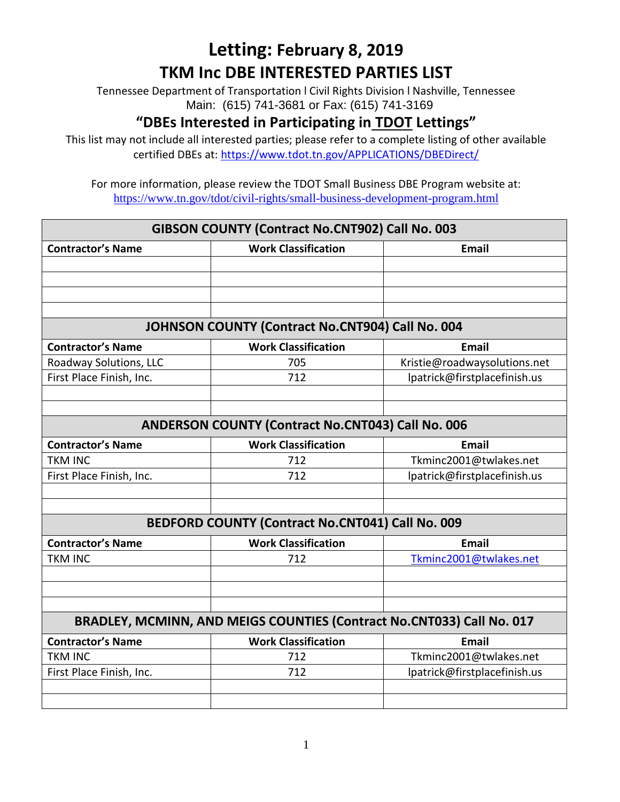Tennessee Department of Transportation l Civil Rights Division l Nashville, Tennessee Main: (615) 741-3681 or Fax: (615) 741-3169

### **"DBEs Interested in Participating in TDOT Lettings"**

This list may not include all interested parties; please refer to a complete listing of other available certified DBEs at:<https://www.tdot.tn.gov/APPLICATIONS/DBEDirect/>

| GIBSON COUNTY (Contract No.CNT902) Call No. 003          |                                                                       |                              |  |
|----------------------------------------------------------|-----------------------------------------------------------------------|------------------------------|--|
| <b>Contractor's Name</b>                                 | <b>Work Classification</b>                                            | Email                        |  |
|                                                          |                                                                       |                              |  |
|                                                          |                                                                       |                              |  |
|                                                          |                                                                       |                              |  |
|                                                          |                                                                       |                              |  |
|                                                          | JOHNSON COUNTY (Contract No.CNT904) Call No. 004                      |                              |  |
| <b>Contractor's Name</b>                                 | <b>Work Classification</b>                                            | <b>Email</b>                 |  |
| Roadway Solutions, LLC                                   | 705                                                                   | Kristie@roadwaysolutions.net |  |
| First Place Finish, Inc.                                 | 712                                                                   | lpatrick@firstplacefinish.us |  |
|                                                          |                                                                       |                              |  |
|                                                          |                                                                       |                              |  |
| <b>ANDERSON COUNTY (Contract No.CNT043) Call No. 006</b> |                                                                       |                              |  |
| <b>Contractor's Name</b>                                 | <b>Work Classification</b>                                            | <b>Email</b>                 |  |
| <b>TKM INC</b>                                           | 712                                                                   | Tkminc2001@twlakes.net       |  |
| First Place Finish, Inc.                                 | 712                                                                   | lpatrick@firstplacefinish.us |  |
|                                                          |                                                                       |                              |  |
|                                                          |                                                                       |                              |  |
| BEDFORD COUNTY (Contract No.CNT041) Call No. 009         |                                                                       |                              |  |
| <b>Contractor's Name</b>                                 | <b>Work Classification</b>                                            | <b>Email</b>                 |  |
| <b>TKM INC</b>                                           | 712                                                                   | Tkminc2001@twlakes.net       |  |
|                                                          |                                                                       |                              |  |
|                                                          |                                                                       |                              |  |
|                                                          |                                                                       |                              |  |
|                                                          | BRADLEY, MCMINN, AND MEIGS COUNTIES (Contract No.CNT033) Call No. 017 |                              |  |
| <b>Contractor's Name</b>                                 | <b>Work Classification</b>                                            | <b>Email</b>                 |  |
| <b>TKM INC</b>                                           | 712                                                                   | Tkminc2001@twlakes.net       |  |
| First Place Finish, Inc.                                 | 712                                                                   | lpatrick@firstplacefinish.us |  |
|                                                          |                                                                       |                              |  |
|                                                          |                                                                       |                              |  |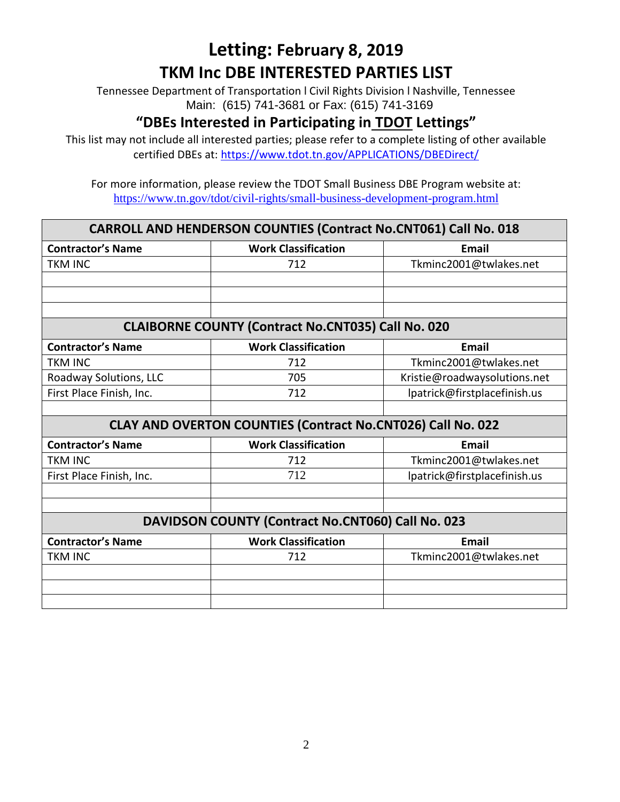Tennessee Department of Transportation l Civil Rights Division l Nashville, Tennessee Main: (615) 741-3681 or Fax: (615) 741-3169

### **"DBEs Interested in Participating in TDOT Lettings"**

This list may not include all interested parties; please refer to a complete listing of other available certified DBEs at:<https://www.tdot.tn.gov/APPLICATIONS/DBEDirect/>

| <b>CARROLL AND HENDERSON COUNTIES (Contract No.CNT061) Call No. 018</b> |                                                             |                              |
|-------------------------------------------------------------------------|-------------------------------------------------------------|------------------------------|
| <b>Contractor's Name</b>                                                | <b>Work Classification</b>                                  | <b>Email</b>                 |
| <b>TKM INC</b>                                                          | 712                                                         | Tkminc2001@twlakes.net       |
|                                                                         |                                                             |                              |
|                                                                         |                                                             |                              |
|                                                                         |                                                             |                              |
|                                                                         | <b>CLAIBORNE COUNTY (Contract No.CNT035) Call No. 020</b>   |                              |
| <b>Contractor's Name</b>                                                | <b>Work Classification</b>                                  | <b>Email</b>                 |
| <b>TKM INC</b>                                                          | 712                                                         | Tkminc2001@twlakes.net       |
| Roadway Solutions, LLC                                                  | 705                                                         | Kristie@roadwaysolutions.net |
| First Place Finish, Inc.                                                | 712                                                         | lpatrick@firstplacefinish.us |
|                                                                         |                                                             |                              |
|                                                                         | CLAY AND OVERTON COUNTIES (Contract No.CNT026) Call No. 022 |                              |
| <b>Contractor's Name</b>                                                | <b>Work Classification</b>                                  | <b>Email</b>                 |
| <b>TKM INC</b>                                                          | 712                                                         | Tkminc2001@twlakes.net       |
| First Place Finish, Inc.                                                | 712                                                         | lpatrick@firstplacefinish.us |
|                                                                         |                                                             |                              |
|                                                                         |                                                             |                              |
|                                                                         | DAVIDSON COUNTY (Contract No.CNT060) Call No. 023           |                              |
| <b>Contractor's Name</b>                                                | <b>Work Classification</b>                                  | <b>Email</b>                 |
| <b>TKM INC</b>                                                          | 712                                                         | Tkminc2001@twlakes.net       |
|                                                                         |                                                             |                              |
|                                                                         |                                                             |                              |
|                                                                         |                                                             |                              |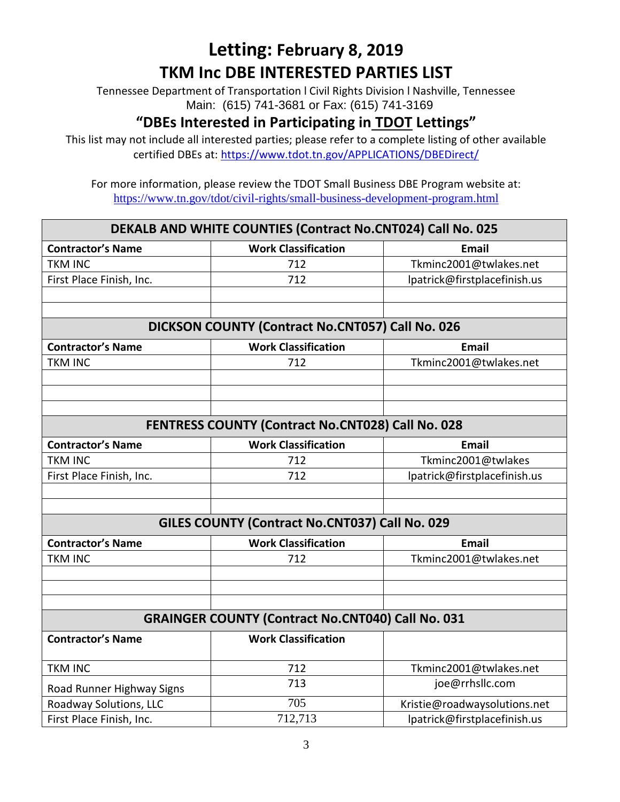Tennessee Department of Transportation l Civil Rights Division l Nashville, Tennessee Main: (615) 741-3681 or Fax: (615) 741-3169

### **"DBEs Interested in Participating in TDOT Lettings"**

This list may not include all interested parties; please refer to a complete listing of other available certified DBEs at:<https://www.tdot.tn.gov/APPLICATIONS/DBEDirect/>

| DEKALB AND WHITE COUNTIES (Contract No.CNT024) Call No. 025 |                                                          |                              |  |
|-------------------------------------------------------------|----------------------------------------------------------|------------------------------|--|
| <b>Contractor's Name</b>                                    | <b>Work Classification</b>                               | <b>Email</b>                 |  |
| <b>TKM INC</b>                                              | 712                                                      | Tkminc2001@twlakes.net       |  |
| First Place Finish, Inc.                                    | 712                                                      | lpatrick@firstplacefinish.us |  |
|                                                             |                                                          |                              |  |
|                                                             |                                                          |                              |  |
| DICKSON COUNTY (Contract No.CNT057) Call No. 026            |                                                          |                              |  |
| <b>Contractor's Name</b>                                    | <b>Work Classification</b>                               | <b>Email</b>                 |  |
| <b>TKM INC</b>                                              | 712                                                      | Tkminc2001@twlakes.net       |  |
|                                                             |                                                          |                              |  |
|                                                             |                                                          |                              |  |
|                                                             |                                                          |                              |  |
| FENTRESS COUNTY (Contract No.CNT028) Call No. 028           |                                                          |                              |  |
| <b>Contractor's Name</b>                                    | <b>Work Classification</b>                               | <b>Email</b>                 |  |
| <b>TKM INC</b>                                              | 712                                                      | Tkminc2001@twlakes           |  |
| First Place Finish, Inc.                                    | 712                                                      | lpatrick@firstplacefinish.us |  |
|                                                             |                                                          |                              |  |
|                                                             |                                                          |                              |  |
| GILES COUNTY (Contract No.CNT037) Call No. 029              |                                                          |                              |  |
| <b>Contractor's Name</b>                                    | <b>Work Classification</b>                               | <b>Email</b>                 |  |
| <b>TKM INC</b>                                              | 712                                                      | Tkminc2001@twlakes.net       |  |
|                                                             |                                                          |                              |  |
|                                                             |                                                          |                              |  |
|                                                             |                                                          |                              |  |
|                                                             | <b>GRAINGER COUNTY (Contract No.CNT040) Call No. 031</b> |                              |  |
| <b>Contractor's Name</b>                                    | <b>Work Classification</b>                               |                              |  |
| <b>TKM INC</b>                                              | 712                                                      | Tkminc2001@twlakes.net       |  |
| Road Runner Highway Signs                                   | 713                                                      | joe@rrhsllc.com              |  |
| Roadway Solutions, LLC                                      | 705                                                      | Kristie@roadwaysolutions.net |  |
| First Place Finish, Inc.                                    | 712,713                                                  | lpatrick@firstplacefinish.us |  |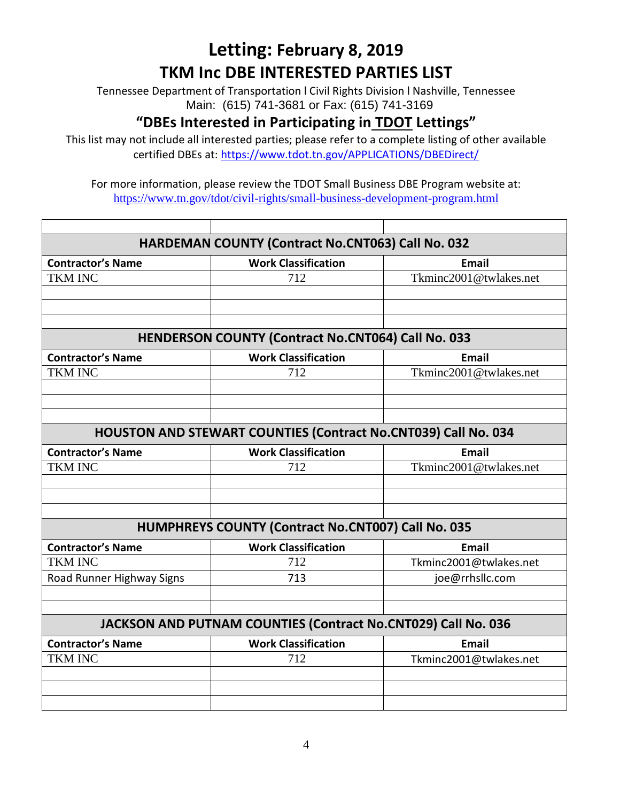Tennessee Department of Transportation l Civil Rights Division l Nashville, Tennessee Main: (615) 741-3681 or Fax: (615) 741-3169

### **"DBEs Interested in Participating in TDOT Lettings"**

This list may not include all interested parties; please refer to a complete listing of other available certified DBEs at:<https://www.tdot.tn.gov/APPLICATIONS/DBEDirect/>

| HARDEMAN COUNTY (Contract No.CNT063) Call No. 032                     |                                                               |                        |
|-----------------------------------------------------------------------|---------------------------------------------------------------|------------------------|
| <b>Contractor's Name</b>                                              | <b>Work Classification</b>                                    | <b>Email</b>           |
| <b>TKM INC</b>                                                        | 712                                                           | Tkminc2001@twlakes.net |
|                                                                       |                                                               |                        |
|                                                                       |                                                               |                        |
|                                                                       |                                                               |                        |
|                                                                       | <b>HENDERSON COUNTY (Contract No.CNT064) Call No. 033</b>     |                        |
| <b>Contractor's Name</b>                                              | <b>Work Classification</b>                                    | <b>Email</b>           |
| <b>TKM INC</b>                                                        | 712                                                           | Tkminc2001@twlakes.net |
|                                                                       |                                                               |                        |
|                                                                       |                                                               |                        |
|                                                                       |                                                               |                        |
| <b>HOUSTON AND STEWART COUNTIES (Contract No.CNT039) Call No. 034</b> |                                                               |                        |
| <b>Contractor's Name</b>                                              | <b>Work Classification</b>                                    | <b>Email</b>           |
| <b>TKM INC</b>                                                        | 712                                                           | Tkminc2001@twlakes.net |
|                                                                       |                                                               |                        |
|                                                                       |                                                               |                        |
|                                                                       |                                                               |                        |
| HUMPHREYS COUNTY (Contract No.CNT007) Call No. 035                    |                                                               |                        |
| <b>Contractor's Name</b>                                              | <b>Work Classification</b>                                    | <b>Email</b>           |
| <b>TKM INC</b>                                                        | 712                                                           | Tkminc2001@twlakes.net |
| Road Runner Highway Signs                                             | 713                                                           | joe@rrhsllc.com        |
|                                                                       |                                                               |                        |
|                                                                       |                                                               |                        |
|                                                                       | JACKSON AND PUTNAM COUNTIES (Contract No.CNT029) Call No. 036 |                        |
| <b>Contractor's Name</b>                                              | <b>Work Classification</b>                                    | <b>Email</b>           |
| <b>TKM INC</b>                                                        | 712                                                           | Tkminc2001@twlakes.net |
|                                                                       |                                                               |                        |
|                                                                       |                                                               |                        |
|                                                                       |                                                               |                        |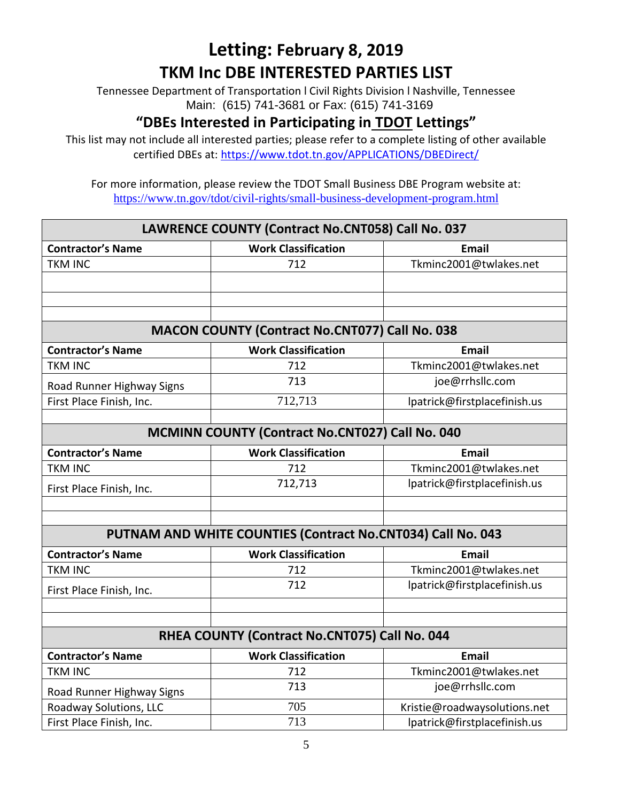Tennessee Department of Transportation l Civil Rights Division l Nashville, Tennessee Main: (615) 741-3681 or Fax: (615) 741-3169

### **"DBEs Interested in Participating in TDOT Lettings"**

This list may not include all interested parties; please refer to a complete listing of other available certified DBEs at:<https://www.tdot.tn.gov/APPLICATIONS/DBEDirect/>

| LAWRENCE COUNTY (Contract No.CNT058) Call No. 037      |                                                             |                              |
|--------------------------------------------------------|-------------------------------------------------------------|------------------------------|
| <b>Contractor's Name</b>                               | <b>Work Classification</b>                                  | <b>Email</b>                 |
| <b>TKM INC</b>                                         | 712                                                         | Tkminc2001@twlakes.net       |
|                                                        |                                                             |                              |
|                                                        |                                                             |                              |
|                                                        |                                                             |                              |
|                                                        | <b>MACON COUNTY (Contract No.CNT077) Call No. 038</b>       |                              |
| <b>Contractor's Name</b>                               | <b>Work Classification</b>                                  | <b>Email</b>                 |
| <b>TKM INC</b>                                         | 712                                                         | Tkminc2001@twlakes.net       |
| Road Runner Highway Signs                              | 713                                                         | joe@rrhsllc.com              |
| First Place Finish, Inc.                               | 712,713                                                     | lpatrick@firstplacefinish.us |
|                                                        |                                                             |                              |
| <b>MCMINN COUNTY (Contract No.CNT027) Call No. 040</b> |                                                             |                              |
| <b>Contractor's Name</b>                               | <b>Work Classification</b>                                  | <b>Email</b>                 |
| <b>TKM INC</b>                                         | 712                                                         | Tkminc2001@twlakes.net       |
| First Place Finish, Inc.                               | 712,713                                                     | lpatrick@firstplacefinish.us |
|                                                        |                                                             |                              |
|                                                        |                                                             |                              |
|                                                        | PUTNAM AND WHITE COUNTIES (Contract No.CNT034) Call No. 043 |                              |
| <b>Contractor's Name</b>                               | <b>Work Classification</b>                                  | <b>Email</b>                 |
| <b>TKM INC</b>                                         | 712                                                         | Tkminc2001@twlakes.net       |
| First Place Finish, Inc.                               | 712                                                         | lpatrick@firstplacefinish.us |
|                                                        |                                                             |                              |
|                                                        |                                                             |                              |
|                                                        | RHEA COUNTY (Contract No.CNT075) Call No. 044               |                              |
| <b>Contractor's Name</b>                               | <b>Work Classification</b>                                  | <b>Email</b>                 |
| <b>TKM INC</b>                                         | 712                                                         | Tkminc2001@twlakes.net       |
| Road Runner Highway Signs                              | 713                                                         | joe@rrhsllc.com              |
| Roadway Solutions, LLC                                 | 705                                                         | Kristie@roadwaysolutions.net |
| First Place Finish, Inc.                               | 713                                                         | lpatrick@firstplacefinish.us |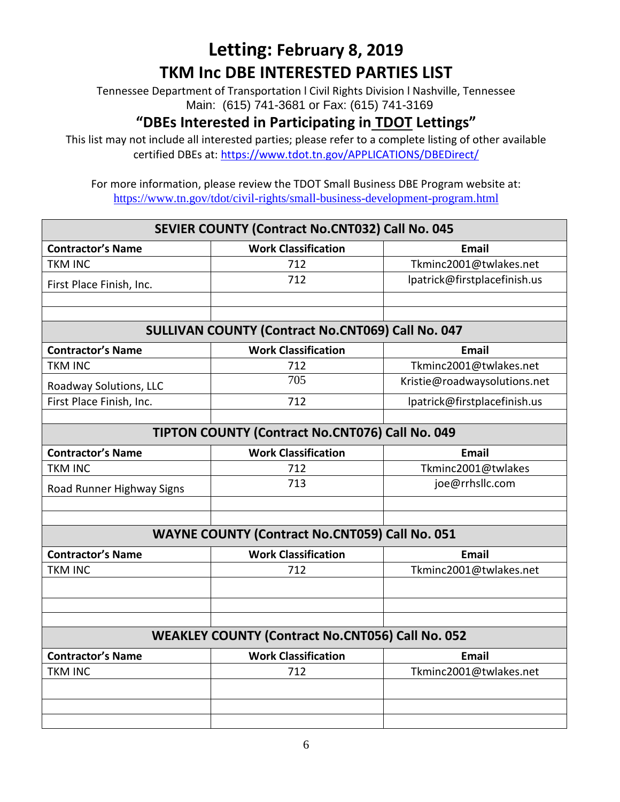Tennessee Department of Transportation l Civil Rights Division l Nashville, Tennessee Main: (615) 741-3681 or Fax: (615) 741-3169

### **"DBEs Interested in Participating in TDOT Lettings"**

This list may not include all interested parties; please refer to a complete listing of other available certified DBEs at:<https://www.tdot.tn.gov/APPLICATIONS/DBEDirect/>

| SEVIER COUNTY (Contract No.CNT032) Call No. 045 |                                                          |                              |
|-------------------------------------------------|----------------------------------------------------------|------------------------------|
| <b>Contractor's Name</b>                        | <b>Work Classification</b>                               | <b>Email</b>                 |
| <b>TKM INC</b>                                  | 712                                                      | Tkminc2001@twlakes.net       |
| First Place Finish, Inc.                        | 712                                                      | lpatrick@firstplacefinish.us |
|                                                 |                                                          |                              |
|                                                 |                                                          |                              |
|                                                 | <b>SULLIVAN COUNTY (Contract No.CNT069) Call No. 047</b> |                              |
| <b>Contractor's Name</b>                        | <b>Work Classification</b>                               | <b>Email</b>                 |
| <b>TKM INC</b>                                  | 712                                                      | Tkminc2001@twlakes.net       |
| Roadway Solutions, LLC                          | 705                                                      | Kristie@roadwaysolutions.net |
| First Place Finish, Inc.                        | 712                                                      | lpatrick@firstplacefinish.us |
|                                                 |                                                          |                              |
|                                                 | TIPTON COUNTY (Contract No.CNT076) Call No. 049          |                              |
| <b>Contractor's Name</b>                        | <b>Work Classification</b>                               | <b>Email</b>                 |
| <b>TKM INC</b>                                  | 712                                                      | Tkminc2001@twlakes           |
| Road Runner Highway Signs                       | 713                                                      | joe@rrhsllc.com              |
|                                                 |                                                          |                              |
|                                                 | <b>WAYNE COUNTY (Contract No.CNT059) Call No. 051</b>    |                              |
| <b>Contractor's Name</b>                        | <b>Work Classification</b>                               | <b>Email</b>                 |
| <b>TKM INC</b>                                  | 712                                                      | Tkminc2001@twlakes.net       |
|                                                 |                                                          |                              |
|                                                 |                                                          |                              |
|                                                 |                                                          |                              |
|                                                 | <b>WEAKLEY COUNTY (Contract No.CNT056) Call No. 052</b>  |                              |
| <b>Contractor's Name</b>                        | <b>Work Classification</b>                               | <b>Email</b>                 |
| <b>TKM INC</b>                                  | 712                                                      | Tkminc2001@twlakes.net       |
|                                                 |                                                          |                              |
|                                                 |                                                          |                              |
|                                                 |                                                          |                              |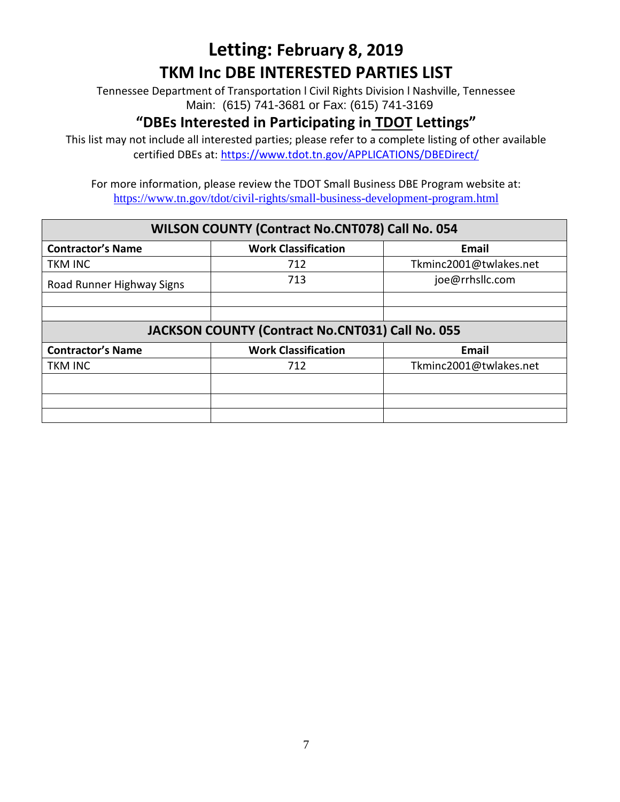Tennessee Department of Transportation l Civil Rights Division l Nashville, Tennessee Main: (615) 741-3681 or Fax: (615) 741-3169

#### **"DBEs Interested in Participating in TDOT Lettings"**

This list may not include all interested parties; please refer to a complete listing of other available certified DBEs at:<https://www.tdot.tn.gov/APPLICATIONS/DBEDirect/>

For more information, please review the TDOT Small Business DBE Program website at: <https://www.tn.gov/tdot/civil-rights/small-business-development-program.html>

#### **WILSON COUNTY (Contract No.CNT078) Call No. 054**

| <b>Contractor's Name</b>  | <b>Work Classification</b>                       | Email                  |
|---------------------------|--------------------------------------------------|------------------------|
| <b>TKM INC</b>            | 712                                              | Tkminc2001@twlakes.net |
| Road Runner Highway Signs | 713                                              | joe@rrhsllc.com        |
|                           |                                                  |                        |
|                           |                                                  |                        |
|                           | JACKSON COUNTY (Contract No.CNT031) Call No. 055 |                        |
| <b>Contractor's Name</b>  | <b>Work Classification</b>                       | <b>Email</b>           |
| <b>TKM INC</b>            | 712                                              | Tkminc2001@twlakes.net |
|                           |                                                  |                        |
|                           |                                                  |                        |
|                           |                                                  |                        |